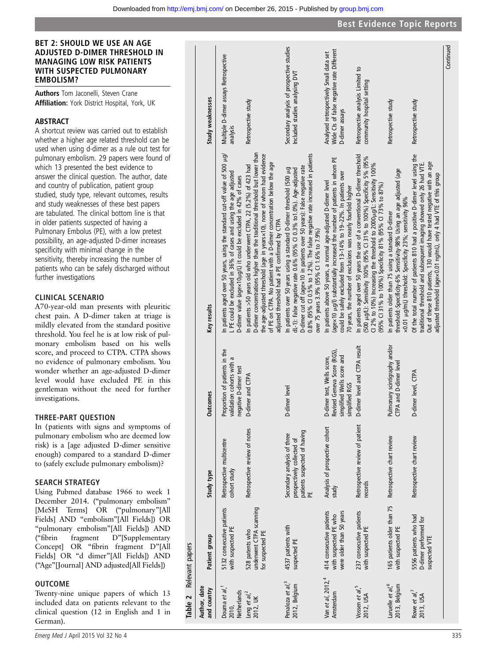Authors Tom Jaconelli, Steven Crane Affiliation: York District Hospital, York, UK

#### ABSTRACT

A shortcut review was carried out to establish whether a higher age related threshold can be used when using d-dimer as a rule out test for pulmonary embolism. 29 papers were found of which 13 presented the best evidence to answer the clinical question. The author, date and country of publication, patient group studied, study type, relevant outcomes, results and study weaknesses of these best papers are tabulated. The clinical bottom line is that in older patients suspected of having a Pulmonary Embolus (PE), with a low pretest possibility, an age-adjusted D-dimer increases specificity with minimal change in the sensitivity, thereby increasing the number of patients who can be safely discharged without further investigations

# CLINICAL SCENARIO

A70-year-old man presents with pleuritic chest pain. A D-dimer taken at triage is mildly elevated from the standard positive threshold. You feel he is at low risk of pulmonary embolism based on his wells score, and proceed to CTPA. CTPA shows no evidence of pulmonary embolism. You wonder whether an age-adjusted D-dimer level would have excluded PE in this gentleman without the need for further investigations.

# THREE-PART QUESTION

In (patients with signs and symptoms of pulmonary embolism who are deemed low risk) is a [age adjusted D-dimer sensitive enough) compared to a standard D-dimer to (safely exclude pulmonary embolism)?

# SEARCH STRATEGY

Using Pubmed database 1966 to week 1 December 2014. ("pulmonary embolism" [MeSH Terms] OR ("pulmonary"[All Fields] AND "embolism"[All Fields]) OR "pulmonary embolism"[All Fields]) AND ("fibrin fragment D"[Supplementary Concept] OR "fibrin fragment D"[All Fields] OR "d dimer"[All Fields]) AND ("Age"[Journal] AND adjusted[All Fields])

# OUTCOME

Twenty-nine unique papers of which 13 included data on patients relevant to the clinical question (12 in English and 1 in German).

|                 | Study weaknesses            | Multiple D-dimer assays Retrospective<br>analysis<br>In patients aged over 50 years, using the standard cut-off value of 500 µg/<br>L PE could be excluded in 36% of cases and using the age adjusted<br>D-dimer value (agex10µg/L) it could be excluded in 42% of cases | Retrospective study<br>D-dimer concentrations higher than the traditional threshold but lower than<br>the age-adjusted threshold (age in yearsx10), none of whom had evidence<br>of PE on CTPA. No patient with a D-dimer concentration below the age<br>In patients >50 years old who underwent CTPA, 22 (5.2%) of 423 had<br>adjusted threshold had a PE confirmed by CTPA | Secondary analysis of prospective studies<br>Included studies analysing DVT<br>0.8% (95% CI 0.5% to 1.2%). The false negative rate increased in patients<br>D-dimer cut off (agex10 in patients over 50 years): False negative rate<br>In patients over 50 years using a standard D-dimer threshold (500 µg<br>dL-1): False negative rate 0.6% (95% CI 0.3% to1.0%). Age-adjusted<br>over 75 years 3.9% (95% Cl 1.6% to 7.9%) | Wide Cls of false negative rate Different<br>Analysed retrospectively Small data set<br>D-dimer assays<br>(age×10 µ.g/l) substantially increased the number of patients in whom PE<br>could be safely excluded from 13-14% to 19-22%. In patients over<br>In patients above 50 years, a normal age-adjusted D-dimer level<br>70 years, the number of exclusions was nearly fourfold higher | Retrospective analysis Limited to<br>community hospital setting<br>In patients aged over 50 years the use of a conventional D-dimer threshold<br>(500 µg/L): Sensitivity 100% (95% CI 31% to 100%) Specificity 5% (95%<br>CI 2% to 10%) Increasing the threshold to 2000 µg/L: Sensitivity 100%<br>(95% Cl 31% to 100%) Specificity 81% (95% Cl 73% to 87%) | Retrospective study<br>threshold:-Specificity-6% Sensitivity-98% Using an age adjusted (age<br>x0.01 µg/mL) threshold: Specificity 23%; sensitivity 96%<br>In patients older than 75 using a standard D-dimer | Retrospective study<br>Of the total number of patients 810 had a positive D-dimer level using the<br>Out of these 810 patients, 130 would have tested negative with an age<br>traditional threshold and subsequent imaging showed only 26 had VTE.<br>adjusted threshold (agex0.01 ng/mL), only 4 had VTE of this group | Continued |
|-----------------|-----------------------------|--------------------------------------------------------------------------------------------------------------------------------------------------------------------------------------------------------------------------------------------------------------------------|------------------------------------------------------------------------------------------------------------------------------------------------------------------------------------------------------------------------------------------------------------------------------------------------------------------------------------------------------------------------------|-------------------------------------------------------------------------------------------------------------------------------------------------------------------------------------------------------------------------------------------------------------------------------------------------------------------------------------------------------------------------------------------------------------------------------|--------------------------------------------------------------------------------------------------------------------------------------------------------------------------------------------------------------------------------------------------------------------------------------------------------------------------------------------------------------------------------------------|-------------------------------------------------------------------------------------------------------------------------------------------------------------------------------------------------------------------------------------------------------------------------------------------------------------------------------------------------------------|---------------------------------------------------------------------------------------------------------------------------------------------------------------------------------------------------------------|-------------------------------------------------------------------------------------------------------------------------------------------------------------------------------------------------------------------------------------------------------------------------------------------------------------------------|-----------|
|                 | Key results                 |                                                                                                                                                                                                                                                                          |                                                                                                                                                                                                                                                                                                                                                                              |                                                                                                                                                                                                                                                                                                                                                                                                                               |                                                                                                                                                                                                                                                                                                                                                                                            |                                                                                                                                                                                                                                                                                                                                                             |                                                                                                                                                                                                               |                                                                                                                                                                                                                                                                                                                         |           |
|                 | <b>Dutcomes</b>             | Proportion of patients in the<br>validation cohorts with a<br>negative D-dimer test                                                                                                                                                                                      | 0-dimer and CTPA                                                                                                                                                                                                                                                                                                                                                             | 0-dimer level                                                                                                                                                                                                                                                                                                                                                                                                                 | Revised Geneva Score (RGS),<br>simplified Wells score and<br>O-dimer test, Wells score,<br>simplified RGS                                                                                                                                                                                                                                                                                  | 0-dimer level and CTPA result                                                                                                                                                                                                                                                                                                                               | Pulmonary scintigraphy and/or<br><b>CTPA</b> and D-dimer level                                                                                                                                                | 0-dimer level, CTPA                                                                                                                                                                                                                                                                                                     |           |
|                 | Study type                  | Retrospective multicentre<br>cohort study                                                                                                                                                                                                                                | Retrospective review of notes                                                                                                                                                                                                                                                                                                                                                | patients suspected of having<br>PE<br>Secondary analysis of three<br>prospectively collected of                                                                                                                                                                                                                                                                                                                               | Analysis of prospective cohort<br>study                                                                                                                                                                                                                                                                                                                                                    | Retrospective review of patient<br>records                                                                                                                                                                                                                                                                                                                  | Retrospective chart review                                                                                                                                                                                    | Retrospective chart review                                                                                                                                                                                                                                                                                              |           |
| Relevant papers | Patient group               | 5132 consecutive patients<br>with suspected PE                                                                                                                                                                                                                           | underwent CTPA scanning<br>528 patents who<br>for suspected PE                                                                                                                                                                                                                                                                                                               | 4537 patients with<br>suspected PE                                                                                                                                                                                                                                                                                                                                                                                            | 414 consecutive patients<br>were older than 50 years<br>with suspected PE who                                                                                                                                                                                                                                                                                                              | 237 consecutive patients<br>with suspected PE                                                                                                                                                                                                                                                                                                               | 165 patients older than 75<br>with suspected PE                                                                                                                                                               | 5556 patients who had<br>D-dimer performed for<br>suspected VTE                                                                                                                                                                                                                                                         |           |
| Table 2         | Author, date<br>and country | Douma et al, <sup>1</sup><br>Netherlands<br>2010,                                                                                                                                                                                                                        | Leng et al, <sup>2</sup><br>2012, UK                                                                                                                                                                                                                                                                                                                                         | Penaloza et al, <sup>3</sup><br>2012, Belgium                                                                                                                                                                                                                                                                                                                                                                                 | Van et al, 2012, <sup>4</sup><br>Amsterdam                                                                                                                                                                                                                                                                                                                                                 | Vossen et al, <sup>5</sup><br>2012, USA                                                                                                                                                                                                                                                                                                                     | Laruelle et al, <sup>6</sup><br>2013, Belgium                                                                                                                                                                 | Rowe et al, <sup>7</sup><br>2013, USA                                                                                                                                                                                                                                                                                   |           |

Best Evidence Topic Reports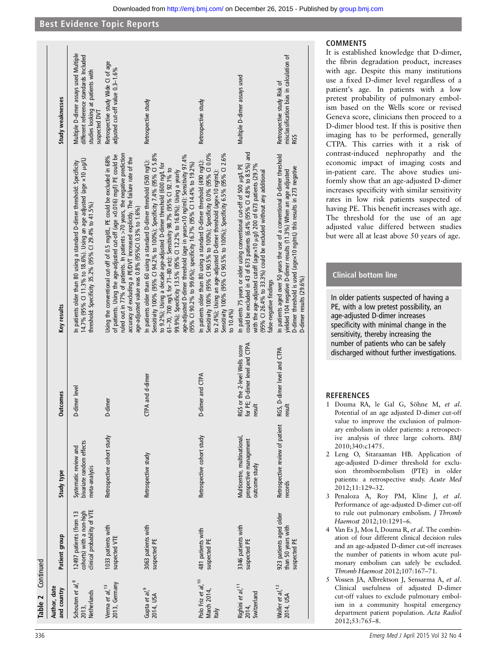|                      | Study weaknesses            | Multiple D-dimer assays used Multiple<br>different reference standards Included<br>studies looking at patients with<br>suspected DVT                                                                                   | Retrospective study Wide CI of age<br>adjusted cut-off value 0.3-1.6%                                                                                                                                                                                                                                                                                                      | Retrospective study                                                                                                                                                                                                                                                                                                                                                                                                                                                                                                       | Retrospective study                                                                                                                                                                                                                                                                                              | Multiple D-dimer assays used                                                                                                                                                                                                                                                                                               | misclassification bias in calculation of<br>Retrospective study Risk of<br><b>RGS</b>                                                                                                                                                                 |
|----------------------|-----------------------------|------------------------------------------------------------------------------------------------------------------------------------------------------------------------------------------------------------------------|----------------------------------------------------------------------------------------------------------------------------------------------------------------------------------------------------------------------------------------------------------------------------------------------------------------------------------------------------------------------------|---------------------------------------------------------------------------------------------------------------------------------------------------------------------------------------------------------------------------------------------------------------------------------------------------------------------------------------------------------------------------------------------------------------------------------------------------------------------------------------------------------------------------|------------------------------------------------------------------------------------------------------------------------------------------------------------------------------------------------------------------------------------------------------------------------------------------------------------------|----------------------------------------------------------------------------------------------------------------------------------------------------------------------------------------------------------------------------------------------------------------------------------------------------------------------------|-------------------------------------------------------------------------------------------------------------------------------------------------------------------------------------------------------------------------------------------------------|
|                      | Key results                 | 14.7% (95% Cl 11.3% to 18.6%). Using an age adjusted (age $\times$ 10 $\mu$ .g/L)<br>In patients older than 80 using a standard D-dimer threshold: Specificity<br>threshold: Specificity 35.2% (95% Cl 29.4% to 41.5%) | ruled out in 77% of patients. In patients >70 years, the negative prediction<br>of patients. Using the age-adjusted cut-off (age x0.016) mg/l) PE could be<br>Using the conventional cut-off of 0.5 mg/dL, PE could be excluded in 68%<br>accuracy of excluding a PE/DVT increased explicitly. The failure rate of the<br>age-adjusted value was 0.8% (95%Cl 0.3% to 1.6%) | Sensitivity 100% (95% CI 94.2% to 100%); Specificity 7.4% (95% CI 5.8%<br>age-adjusted D-dimer threshold (age in yearsx10 ng/ml): Sensitivity 97.4%<br>In patients older than 60 using a standard D-dimer threshold (500 ng/L):<br>to 9.2%); Using a decade age-adjusted D-dimer threshold (600 ng/L for<br>(95% Cl 90.2% to 99.6%); specificity 16.7% (95% Cl 14.4% to 19.2%)<br>61-70, 700 ng/L for 71-80 etc): Sensitivity 98.7% (95% CI 92.1% to<br>99.9%); Specificity 13.5% (95% CI 12.2% to 16.8%); Using a yearly | Sensitivity 100% (95% CI 90.5% to 100%); Specificity 6.5% (95% CI 2.6%<br>Sensitivity 100% (95% CI 90.5% to 100%); Specificity 0.0% (95% CI 0.0%<br>In patients older than 80 using a standard D-dimer threshold (490 ng/L):<br>to 2.4%); Using an age-adjusted D-dimer threshold (agex10 ng/mL):<br>to $10.4\%$ | could be excluded in 43 of 673 patients (6.4% (95% CI 4.8% to 8.5%) and<br>with the age-adjusted cutoff (agex10 µ.g/) 200 of 673 patients (29.7%<br>In patients 75 years or older using conventional cut-off of 500 µg/L PE<br>(95% CI 26.4% to 33.3%) could be excluded without any additional<br>false-negative findings | In patients aged over 50 years the use of a conventional D-dimer threshold<br>D-dimer threshold is used (age x 10 ng/mL) this results in 273 negative<br>yielded 104 negative D-dimer results (11.3%) When an age adjusted<br>D-dimer results (29.6%) |
|                      | <b>Outcomes</b>             | D-dimer level                                                                                                                                                                                                          | D-dimer                                                                                                                                                                                                                                                                                                                                                                    | CTPA and d-dimer                                                                                                                                                                                                                                                                                                                                                                                                                                                                                                          | D-dimer and CTPA                                                                                                                                                                                                                                                                                                 | for PE; D-dimer level and CTPA<br>RGS or the 2-level Wells score<br>result                                                                                                                                                                                                                                                 | RGS, D-dimer level and CTPA<br>result                                                                                                                                                                                                                 |
|                      | Study type                  | bivariate random effects<br>Systematic review and<br>meta-analysis                                                                                                                                                     | Retrospective cohort study                                                                                                                                                                                                                                                                                                                                                 | Retrospective study                                                                                                                                                                                                                                                                                                                                                                                                                                                                                                       | Retrospective cohort study                                                                                                                                                                                                                                                                                       | Multicentre, multinational,<br>prospective management<br>outcome study                                                                                                                                                                                                                                                     | Retrospective review of patient<br>records                                                                                                                                                                                                            |
|                      | Patient group               | clinical probability of VTE<br>cohorts) with a non-high<br>12497 patients (from 13                                                                                                                                     | 1033 patients with<br>suspected VTE                                                                                                                                                                                                                                                                                                                                        | 3063 patients with<br>suspected PE                                                                                                                                                                                                                                                                                                                                                                                                                                                                                        | 481 patients with<br>suspected PE                                                                                                                                                                                                                                                                                | 3346 patients with<br>suspected PE                                                                                                                                                                                                                                                                                         | 923 patients aged older<br>than 50 years with<br>suspected PE                                                                                                                                                                                         |
| Continued<br>Table 2 | Author, date<br>and country | Schouten et al, <sup>8</sup><br>Netherlands<br>2013.                                                                                                                                                                   | 2013, Germany<br>Verma et al, <sup>13</sup>                                                                                                                                                                                                                                                                                                                                | Gupta et al, <sup>9</sup><br>2014, USA                                                                                                                                                                                                                                                                                                                                                                                                                                                                                    | Polo Friz et al, 10<br>March 2014,<br>taly                                                                                                                                                                                                                                                                       | Righini et al, <sup>11</sup><br>Switzerland<br>2014,                                                                                                                                                                                                                                                                       | Woller et al, <sup>12</sup><br>2014, USA                                                                                                                                                                                                              |

#### COMMENTS

It is established knowledge that D-dimer, the fibrin degradation product, increases with age. Despite this many institutions use a fixed D-dimer level regardless of a patient's age. In patients with a low pretest probability of pulmonary embolism based on the Wells score or revised Geneva score, clinicians then proceed to a D-dimer blood test. If this is positive then imaging has to be performed, generally CTPA. This carries with it a risk of contrast-induced nephropathy and the economic impact of imaging costs and in-patient care. The above studies uniformly show that an age-adjusted D-dimer increases specificity with similar sensitivity rates in low risk patients suspected of having PE. This benefit increases with age. The threshold for the use of an age adjusted value differed between studies but were all at least above 50 years of age.

#### Clinical bottom line

In older patients suspected of having a PE, with a low pretest possibility, an age-adjusted D-dimer increases specificity with minimal change in the sensitivity, thereby increasing the number of patients who can be safely discharged without further investigations.

#### **REFERENCES**

- 1 Douma RA, le Gal G, Söhne M, et al. Potential of an age adjusted D-dimer cut-off value to improve the exclusion of pulmonary embolism in older patients: a retrospective analysis of three large cohorts. BMJ 2010;340:c1475.
- 2 Leng O, Sitaraaman HB. Application of age-adjusted D-dimer threshold for exclusion thromboembolism (PTE) in older patients: a retrospective study. Acute Med 2012;11:129–32.
- 3 Penaloza A, Roy PM, Kline J, et al. Performance of age-adjusted D-dimer cut-off to rule out pulmonary embolism. *J Thromb* Haemost 2012;10:1291–6.
- 4 Van Es J, Mos I, Douma R, et al. The combination of four different clinical decision rules and an age-adjusted D-dimer cut-off increases the number of patients in whom acute pulmonary embolism can safely be excluded. Thromb Haemost 2012;107:167–71.
- 5 Vossen JA, Albrektson J, Sensarma A, et al. Clinical usefulness of adjusted D-dimer cut-off values to exclude pulmonary embolism in a community hospital emergency department patient population. Acta Radiol 2012;53:765–8.